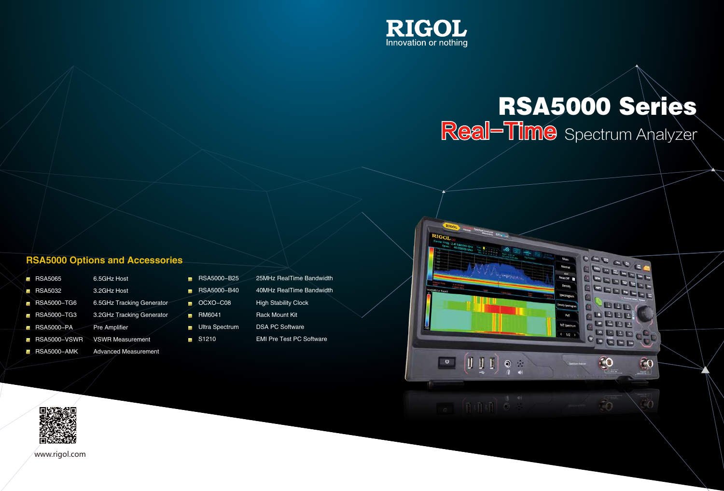www.rigol.com



# RSA5000 Series Spectrum Analyzer

**Mean** 

Meas Off

PVS

**ATCN**  $+1/2$  PEEP

10

**GO** 

C

**BRECO** 

 $\partial$ 

- RSA5000-B25 25MHz RealTime Bandwidth
- RSA5000-B40 40MHz RealTime Bandwidth
- OCXO-C08 High Stability Clock
- RM6041 Rack Mount Kit
- Ultra Spectrum DSA PC Software
- S1210 EMI Pre Test PC Software





## RSA5000 Options and Accessories

- RSA5065 6.5GHz Host RSA5032 3.2GHz Host RSA5000-TG6 6.5GHz Tracking Generator ■ RSA5000-TG3 3.2GHz Tracking Generator **RSA5000-PA** Pre Amplifier
- **RSA5000-VSWR VSWR Measurement**
- RSA5000-AMK Advanced Measurement
- $\blacksquare$
- .
- m.
- $\blacksquare$
- -